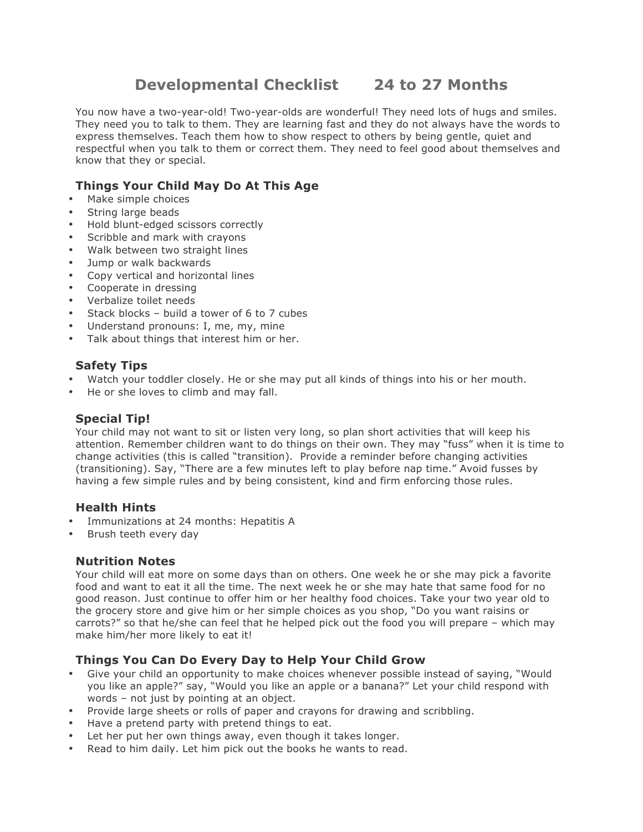# **Developmental Checklist 24 to 27 Months**

You now have a two-year-old! Two-year-olds are wonderful! They need lots of hugs and smiles. They need you to talk to them. They are learning fast and they do not always have the words to express themselves. Teach them how to show respect to others by being gentle, quiet and respectful when you talk to them or correct them. They need to feel good about themselves and know that they or special.

## **Things Your Child May Do At This Age**

- Make simple choices
- String large beads
- Hold blunt-edged scissors correctly
- Scribble and mark with crayons
- Walk between two straight lines
- Jump or walk backwards
- Copy vertical and horizontal lines
- Cooperate in dressing
- Verbalize toilet needs
- Stack blocks build a tower of 6 to 7 cubes
- Understand pronouns: I, me, my, mine
- Talk about things that interest him or her.

#### **Safety Tips**

- Watch your toddler closely. He or she may put all kinds of things into his or her mouth.
- He or she loves to climb and may fall.

#### **Special Tip!**

Your child may not want to sit or listen very long, so plan short activities that will keep his attention. Remember children want to do things on their own. They may "fuss" when it is time to change activities (this is called "transition). Provide a reminder before changing activities (transitioning). Say, "There are a few minutes left to play before nap time." Avoid fusses by having a few simple rules and by being consistent, kind and firm enforcing those rules.

#### **Health Hints**

- Immunizations at 24 months: Hepatitis A
- Brush teeth every day

#### **Nutrition Notes**

Your child will eat more on some days than on others. One week he or she may pick a favorite food and want to eat it all the time. The next week he or she may hate that same food for no good reason. Just continue to offer him or her healthy food choices. Take your two year old to the grocery store and give him or her simple choices as you shop, "Do you want raisins or carrots?" so that he/she can feel that he helped pick out the food you will prepare – which may make him/her more likely to eat it!

### **Things You Can Do Every Day to Help Your Child Grow**

- Give your child an opportunity to make choices whenever possible instead of saying, "Would you like an apple?" say, "Would you like an apple or a banana?" Let your child respond with words – not just by pointing at an object.
- Provide large sheets or rolls of paper and crayons for drawing and scribbling.
- Have a pretend party with pretend things to eat.
- Let her put her own things away, even though it takes longer.
- Read to him daily. Let him pick out the books he wants to read.